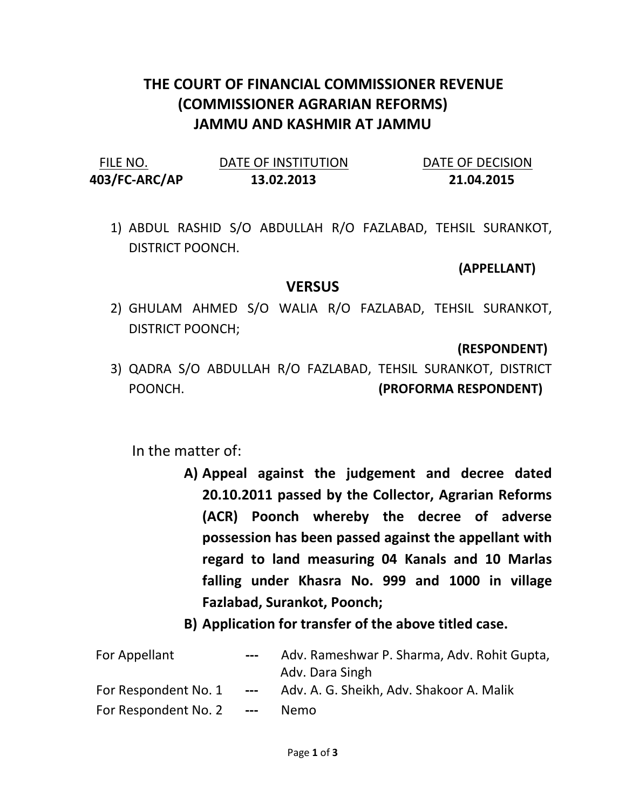# THE COURT OF FINANCIAL COMMISSIONER REVENUE (COMMISSIONER AGRARIAN REFORMS) JAMMU AND KASHMIR AT JAMMU

| FILE NO.      | DATE OF INSTITUTION | DATE OF DECISION |
|---------------|---------------------|------------------|
| 403/FC-ARC/AP | 13.02.2013          | 21.04.2015       |

1) ABDUL RASHID S/O ABDULLAH R/O FAZLABAD, TEHSIL SURANKOT, DISTRICT POONCH.

#### (APPELLANT)

### **VERSUS**

2) GHULAM AHMED S/O WALIA R/O FAZLABAD, TEHSIL SURANKOT, DISTRICT POONCH;

#### (RESPONDENT)

3) QADRA S/O ABDULLAH R/O FAZLABAD, TEHSIL SURANKOT, DISTRICT POONCH. (PROFORMA RESPONDENT)

## In the matter of:

- A) Appeal against the judgement and decree dated 20.10.2011 passed by the Collector, Agrarian Reforms (ACR) Poonch whereby the decree of adverse possession has been passed against the appellant with regard to land measuring 04 Kanals and 10 Marlas falling under Khasra No. 999 and 1000 in village Fazlabad, Surankot, Poonch;
- B) Application for transfer of the above titled case.

| For Appellant        | $\qquad \qquad - -$ | Adv. Rameshwar P. Sharma, Adv. Rohit Gupta,<br>Adv. Dara Singh |
|----------------------|---------------------|----------------------------------------------------------------|
| For Respondent No. 1 | $---$               | Adv. A. G. Sheikh, Adv. Shakoor A. Malik                       |
| For Respondent No. 2 | $- - -$             | Nemo.                                                          |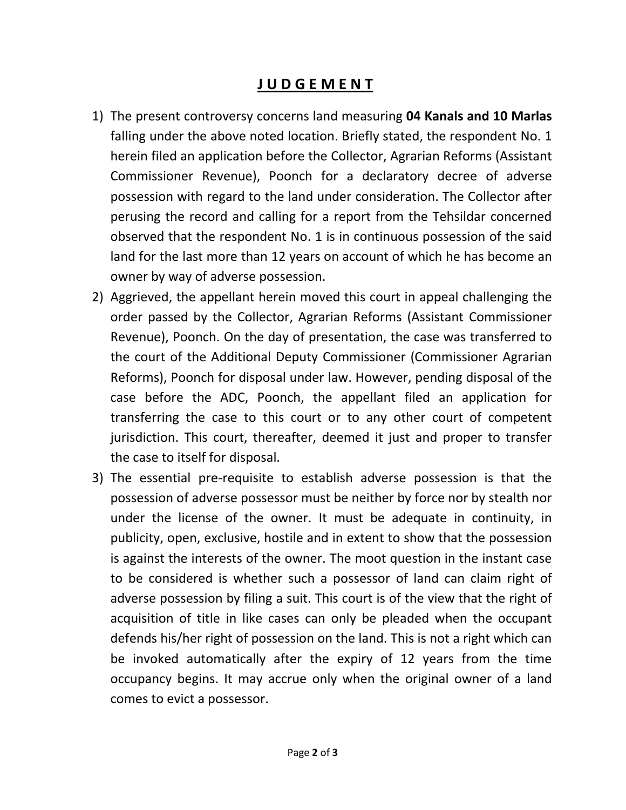## J U D G E M E N T

- 1) The present controversy concerns land measuring 04 Kanals and 10 Marlas falling under the above noted location. Briefly stated, the respondent No. 1 herein filed an application before the Collector, Agrarian Reforms (Assistant Commissioner Revenue), Poonch for a declaratory decree of adverse possession with regard to the land under consideration. The Collector after perusing the record and calling for a report from the Tehsildar concerned observed that the respondent No. 1 is in continuous possession of the said land for the last more than 12 years on account of which he has become an owner by way of adverse possession.
- 2) Aggrieved, the appellant herein moved this court in appeal challenging the order passed by the Collector, Agrarian Reforms (Assistant Commissioner Revenue), Poonch. On the day of presentation, the case was transferred to the court of the Additional Deputy Commissioner (Commissioner Agrarian Reforms), Poonch for disposal under law. However, pending disposal of the case before the ADC, Poonch, the appellant filed an application for transferring the case to this court or to any other court of competent jurisdiction. This court, thereafter, deemed it just and proper to transfer the case to itself for disposal.
- 3) The essential pre-requisite to establish adverse possession is that the possession of adverse possessor must be neither by force nor by stealth nor under the license of the owner. It must be adequate in continuity, in publicity, open, exclusive, hostile and in extent to show that the possession is against the interests of the owner. The moot question in the instant case to be considered is whether such a possessor of land can claim right of adverse possession by filing a suit. This court is of the view that the right of acquisition of title in like cases can only be pleaded when the occupant defends his/her right of possession on the land. This is not a right which can be invoked automatically after the expiry of 12 years from the time occupancy begins. It may accrue only when the original owner of a land comes to evict a possessor.